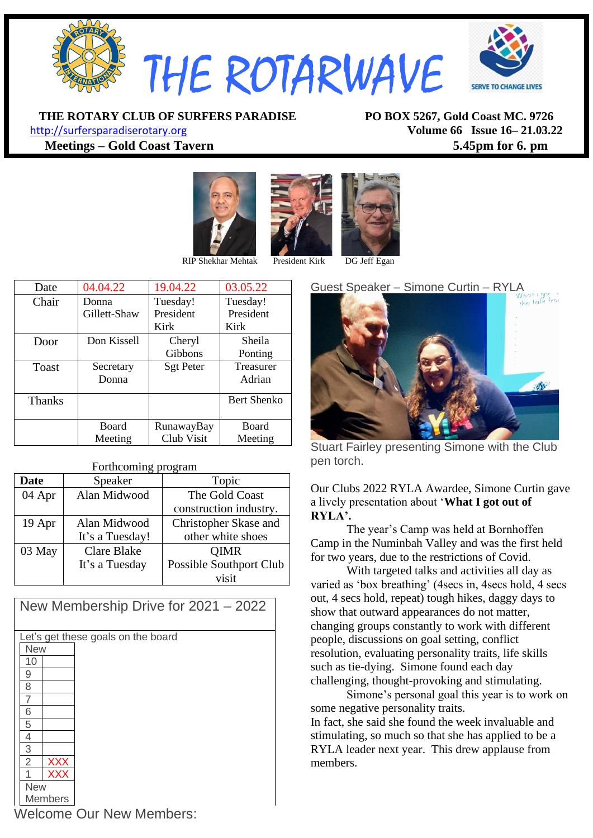

**THE ROTARY CLUB OF SURFERS PARADISE PO BOX 5267, Gold Coast MC. 9726**

[http://surfersparadiserotary.org](http://surfersparadiserotary.org/) **Volume 66 Issue 16– 21.03.22 Meetings – Gold Coast Tavern 5.45pm for 6. pm**





RIP Shekhar Mehtak President Kirk DG Jeff Egan

| Date          | 04.04.22     | 19.04.22         | 03.05.22     |
|---------------|--------------|------------------|--------------|
| Chair         | Donna        | Tuesday!         | Tuesday!     |
|               | Gillett-Shaw | President        | President    |
|               |              | Kirk             | Kirk         |
| Door          | Don Kissell  | Cheryl           | Sheila       |
|               |              | <b>Gibbons</b>   | Ponting      |
| Toast         | Secretary    | <b>Sgt Peter</b> | Treasurer    |
|               | Donna        |                  | Adrian       |
| <b>Thanks</b> |              |                  | Bert Shenko  |
|               |              |                  |              |
|               | <b>Board</b> | RunawayBay       | <b>Board</b> |
|               | Meeting      | Club Visit       | Meeting      |

#### Forthcoming program

| <b>Date</b> | Speaker                        | Topic                   |  |
|-------------|--------------------------------|-------------------------|--|
| 04 Apr      | Alan Midwood<br>The Gold Coast |                         |  |
|             |                                | construction industry.  |  |
| 19 Apr      | Alan Midwood                   | Christopher Skase and   |  |
|             | It's a Tuesday!                | other white shoes       |  |
| 03 May      | <b>Clare Blake</b>             | <b>QIMR</b>             |  |
|             | It's a Tuesday                 | Possible Southport Club |  |
|             |                                | visit                   |  |

| New Membership Drive for 2021 - 2022 |                                    |            |  |  |  |  |  |
|--------------------------------------|------------------------------------|------------|--|--|--|--|--|
|                                      |                                    |            |  |  |  |  |  |
|                                      | Let's get these goals on the board |            |  |  |  |  |  |
|                                      | <b>New</b>                         |            |  |  |  |  |  |
|                                      | 10                                 |            |  |  |  |  |  |
|                                      | 9                                  |            |  |  |  |  |  |
|                                      | 8                                  |            |  |  |  |  |  |
|                                      |                                    |            |  |  |  |  |  |
|                                      | 6                                  |            |  |  |  |  |  |
|                                      | 5                                  |            |  |  |  |  |  |
|                                      | 4                                  |            |  |  |  |  |  |
|                                      | 3                                  |            |  |  |  |  |  |
|                                      | $\overline{2}$                     | <b>XXX</b> |  |  |  |  |  |
|                                      |                                    | <b>XXX</b> |  |  |  |  |  |
| <b>New</b>                           |                                    |            |  |  |  |  |  |
| Members                              |                                    |            |  |  |  |  |  |



Stuart Fairley presenting Simone with the Club pen torch.

Our Clubs 2022 RYLA Awardee, Simone Curtin gave a lively presentation about '**What I got out of RYLA'.**

The year's Camp was held at Bornhoffen Camp in the Numinbah Valley and was the first held for two years, due to the restrictions of Covid.

With targeted talks and activities all day as varied as 'box breathing' (4secs in, 4secs hold, 4 secs out, 4 secs hold, repeat) tough hikes, daggy days to show that outward appearances do not matter, changing groups constantly to work with different people, discussions on goal setting, conflict resolution, evaluating personality traits, life skills such as tie-dying. Simone found each day challenging, thought-provoking and stimulating.

Simone's personal goal this year is to work on some negative personality traits.

In fact, she said she found the week invaluable and stimulating, so much so that she has applied to be a RYLA leader next year. This drew applause from members.

Welcome Our New Members: